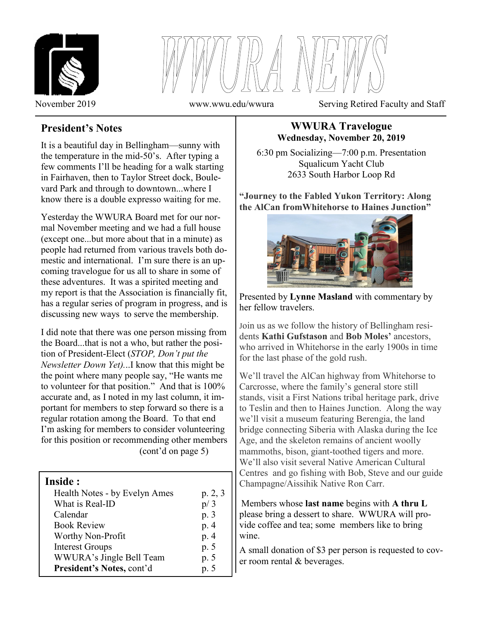



November 2019 www.wwu.edu/wwura Serving Retired Faculty and Staff

# **President's Notes**

It is a beautiful day in Bellingham—sunny with the temperature in the mid-50's. After typing a few comments I'll be heading for a walk starting in Fairhaven, then to Taylor Street dock, Boulevard Park and through to downtown...where I know there is a double expresso waiting for me.

Yesterday the WWURA Board met for our normal November meeting and we had a full house (except one...but more about that in a minute) as people had returned from various travels both domestic and international. I'm sure there is an upcoming travelogue for us all to share in some of these adventures. It was a spirited meeting and my report is that the Association is financially fit, has a regular series of program in progress, and is discussing new ways to serve the membership.

I did note that there was one person missing from the Board...that is not a who, but rather the position of President-Elect (*STOP, Don't put the Newsletter Down Yet).*..I know that this might be the point where many people say, "He wants me to volunteer for that position." And that is 100% accurate and, as I noted in my last column, it important for members to step forward so there is a regular rotation among the Board. To that end I'm asking for members to consider volunteering for this position or recommending other members (cont'd on page 5)

## **Inside :**

İ

| Health Notes - by Evelyn Ames | p. 2, 3 |
|-------------------------------|---------|
| What is Real-ID               | p/3     |
| Calendar                      | p. 3    |
| <b>Book Review</b>            | p.4     |
| Worthy Non-Profit             | p.4     |
| <b>Interest Groups</b>        | p. 5    |
| WWURA's Jingle Bell Team      | p. 5    |
| President's Notes, cont'd     | p.5     |

### **WWURA Travelogue Wednesday, November 20, 2019**

6:30 pm Socializing—7:00 p.m. Presentation Squalicum Yacht Club 2633 South Harbor Loop Rd

**"Journey to the Fabled Yukon Territory: Along the AlCan fromWhitehorse to Haines Junction"**



Presented by **Lynne Masland** with commentary by her fellow travelers.

Join us as we follow the history of Bellingham residents **Kathi Gufstason** and **Bob Moles'** ancestors, who arrived in Whitehorse in the early 1900s in time for the last phase of the gold rush.

We'll travel the AlCan highway from Whitehorse to Carcrosse, where the family's general store still stands, visit a First Nations tribal heritage park, drive to Teslin and then to Haines Junction. Along the way we'll visit a museum featuring Berengia, the land bridge connecting Siberia with Alaska during the Ice Age, and the skeleton remains of ancient woolly mammoths, bison, giant-toothed tigers and more. We'll also visit several Native American Cultural Centres and go fishing with Bob, Steve and our guide Champagne/Aissihik Native Ron Carr.

Members whose **last name** begins with **A thru L**  please bring a dessert to share. WWURA will provide coffee and tea; some members like to bring wine.

A small donation of \$3 per person is requested to cover room rental & beverages.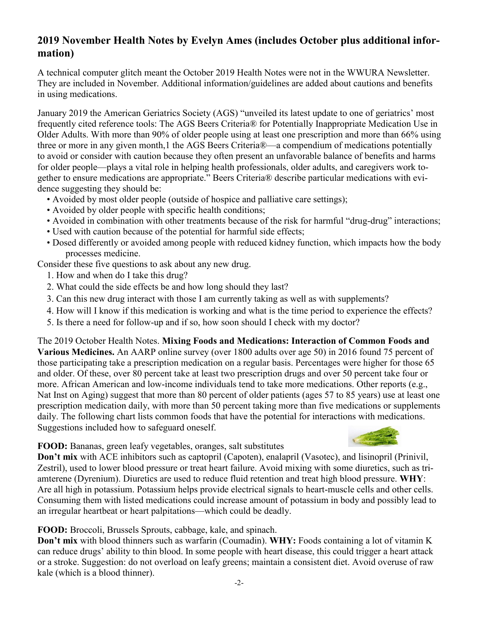## **2019 November Health Notes by Evelyn Ames (includes October plus additional information)**

A technical computer glitch meant the October 2019 Health Notes were not in the WWURA Newsletter. They are included in November. Additional information/guidelines are added about cautions and benefits in using medications.

January 2019 the American Geriatrics Society (AGS) "unveiled its latest update to one of geriatrics' most frequently cited reference tools: The AGS Beers Criteria® for Potentially Inappropriate Medication Use in Older Adults. With more than 90% of older people using at least one prescription and more than 66% using three or more in any given month,1 the AGS Beers Criteria®—a compendium of medications potentially to avoid or consider with caution because they often present an unfavorable balance of benefits and harms for older people—plays a vital role in helping health professionals, older adults, and caregivers work together to ensure medications are appropriate." Beers Criteria® describe particular medications with evidence suggesting they should be:

- Avoided by most older people (outside of hospice and palliative care settings);
- Avoided by older people with specific health conditions;
- Avoided in combination with other treatments because of the risk for harmful "drug-drug" interactions;
- Used with caution because of the potential for harmful side effects;
- Dosed differently or avoided among people with reduced kidney function, which impacts how the body processes medicine.

Consider these five questions to ask about any new drug.

- 1. How and when do I take this drug?
- 2. What could the side effects be and how long should they last?
- 3. Can this new drug interact with those I am currently taking as well as with supplements?
- 4. How will I know if this medication is working and what is the time period to experience the effects?
- 5. Is there a need for follow-up and if so, how soon should I check with my doctor?

The 2019 October Health Notes. **Mixing Foods and Medications: Interaction of Common Foods and Various Medicines.** An AARP online survey (over 1800 adults over age 50) in 2016 found 75 percent of those participating take a prescription medication on a regular basis. Percentages were higher for those 65 and older. Of these, over 80 percent take at least two prescription drugs and over 50 percent take four or more. African American and low-income individuals tend to take more medications. Other reports (e.g., Nat Inst on Aging) suggest that more than 80 percent of older patients (ages 57 to 85 years) use at least one prescription medication daily, with more than 50 percent taking more than five medications or supplements daily. The following chart lists common foods that have the potential for interactions with medications. Suggestions included how to safeguard oneself.

**FOOD:** Bananas, green leafy vegetables, oranges, salt substitutes

**Don't mix** with ACE inhibitors such as captopril (Capoten), enalapril (Vasotec), and lisinopril (Prinivil, Zestril), used to lower blood pressure or treat heart failure. Avoid mixing with some diuretics, such as triamterene (Dyrenium). Diuretics are used to reduce fluid retention and treat high blood pressure. **WHY**: Are all high in potassium. Potassium helps provide electrical signals to heart-muscle cells and other cells. Consuming them with listed medications could increase amount of potassium in body and possibly lead to an irregular heartbeat or heart palpitations—which could be deadly.

**FOOD:** Broccoli, Brussels Sprouts, cabbage, kale, and spinach.

**Don't mix** with blood thinners such as warfarin (Coumadin). **WHY:** Foods containing a lot of vitamin K can reduce drugs' ability to thin blood. In some people with heart disease, this could trigger a heart attack or a stroke. Suggestion: do not overload on leafy greens; maintain a consistent diet. Avoid overuse of raw kale (which is a blood thinner).

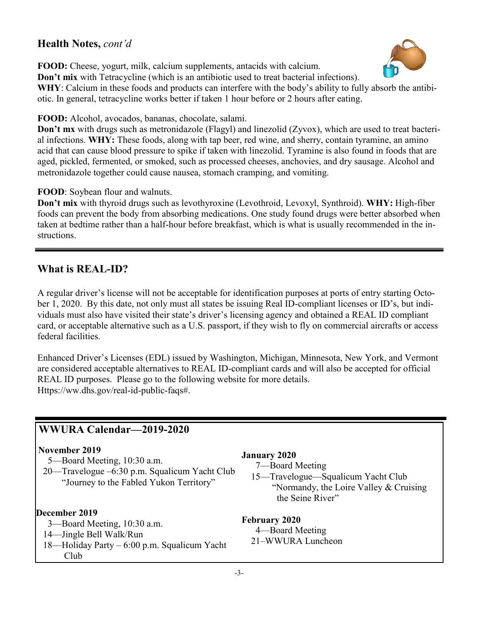## **Health Notes,** *cont'd*

**FOOD:** Cheese, yogurt, milk, calcium supplements, antacids with calcium.



**Don't mix** with Tetracycline (which is an antibiotic used to treat bacterial infections).

**WHY**: Calcium in these foods and products can interfere with the body's ability to fully absorb the antibiotic. In general, tetracycline works better if taken 1 hour before or 2 hours after eating.

**FOOD:** Alcohol, avocados, bananas, chocolate, salami.

**Don't mx** with drugs such as metronidazole (Flagyl) and linezolid (Zyvox), which are used to treat bacterial infections. **WHY:** These foods, along with tap beer, red wine, and sherry, contain tyramine, an amino acid that can cause blood pressure to spike if taken with linezolid. Tyramine is also found in foods that are aged, pickled, fermented, or smoked, such as processed cheeses, anchovies, and dry sausage. Alcohol and metronidazole together could cause nausea, stomach cramping, and vomiting.

**FOOD**: Soybean flour and walnuts.

**Don't mix** with thyroid drugs such as levothyroxine (Levothroid, Levoxyl, Synthroid). **WHY:** High-fiber foods can prevent the body from absorbing medications. One study found drugs were better absorbed when taken at bedtime rather than a half-hour before breakfast, which is what is usually recommended in the instructions.

## **What is REAL-ID?**

A regular driver's license will not be acceptable for identification purposes at ports of entry starting October 1, 2020. By this date, not only must all states be issuing Real ID-compliant licenses or ID's, but individuals must also have visited their state's driver's licensing agency and obtained a REAL ID compliant card, or acceptable alternative such as a U.S. passport, if they wish to fly on commercial aircrafts or access federal facilities.

Enhanced Driver's Licenses (EDL) issued by Washington, Michigan, Minnesota, New York, and Vermont are considered acceptable alternatives to REAL ID-compliant cards and will also be accepted for official REAL ID purposes. Please go to the following website for more details. Https://ww.dhs.gov/real-id-public-faqs#.

# **WWURA Calendar—2019-2020**

### **November 2019**

5—Board Meeting, 10:30 a.m.

 20—Travelogue –6:30 p.m. Squalicum Yacht Club "Journey to the Fabled Yukon Territory"

## **December 2019**

 $\overline{\phantom{a}}$ 

- 3—Board Meeting, 10:30 a.m.
- 14—Jingle Bell Walk/Run
- 18—Holiday Party 6:00 p.m. Squalicum Yacht Club

### **January 2020**

7—Board Meeting

 15—Travelogue—Squalicum Yacht Club "Normandy, the Loire Valley  $&$  Cruising the Seine River"

## **February 2020**

4—Board Meeting 21–WWURA Luncheon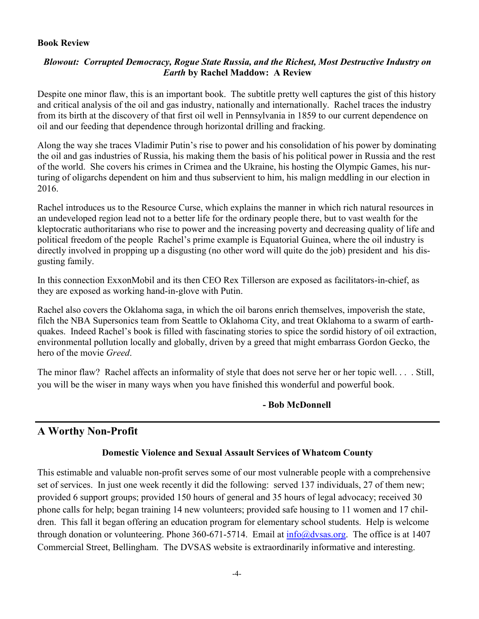#### **Book Review**

### *Blowout: Corrupted Democracy, Rogue State Russia, and the Richest, Most Destructive Industry on Earth* **by Rachel Maddow: A Review**

Despite one minor flaw, this is an important book. The subtitle pretty well captures the gist of this history and critical analysis of the oil and gas industry, nationally and internationally. Rachel traces the industry from its birth at the discovery of that first oil well in Pennsylvania in 1859 to our current dependence on oil and our feeding that dependence through horizontal drilling and fracking.

Along the way she traces Vladimir Putin's rise to power and his consolidation of his power by dominating the oil and gas industries of Russia, his making them the basis of his political power in Russia and the rest of the world. She covers his crimes in Crimea and the Ukraine, his hosting the Olympic Games, his nurturing of oligarchs dependent on him and thus subservient to him, his malign meddling in our election in 2016.

Rachel introduces us to the Resource Curse, which explains the manner in which rich natural resources in an undeveloped region lead not to a better life for the ordinary people there, but to vast wealth for the kleptocratic authoritarians who rise to power and the increasing poverty and decreasing quality of life and political freedom of the people Rachel's prime example is Equatorial Guinea, where the oil industry is directly involved in propping up a disgusting (no other word will quite do the job) president and his disgusting family.

In this connection ExxonMobil and its then CEO Rex Tillerson are exposed as facilitators-in-chief, as they are exposed as working hand-in-glove with Putin.

Rachel also covers the Oklahoma saga, in which the oil barons enrich themselves, impoverish the state, filch the NBA Supersonics team from Seattle to Oklahoma City, and treat Oklahoma to a swarm of earthquakes. Indeed Rachel's book is filled with fascinating stories to spice the sordid history of oil extraction, environmental pollution locally and globally, driven by a greed that might embarrass Gordon Gecko, the hero of the movie *Greed*.

The minor flaw? Rachel affects an informality of style that does not serve her or her topic well. . . . Still, you will be the wiser in many ways when you have finished this wonderful and powerful book.

### **- Bob McDonnell**

## **A Worthy Non-Profit**

### **Domestic Violence and Sexual Assault Services of Whatcom County**

This estimable and valuable non-profit serves some of our most vulnerable people with a comprehensive set of services. In just one week recently it did the following: served 137 individuals, 27 of them new; provided 6 support groups; provided 150 hours of general and 35 hours of legal advocacy; received 30 phone calls for help; began training 14 new volunteers; provided safe housing to 11 women and 17 children. This fall it began offering an education program for elementary school students. Help is welcome through donation or volunteering. Phone 360-671-5714. Email at  $\frac{info(\partial \theta) \cos \theta}{info(\partial \theta)}$ . The office is at 1407 Commercial Street, Bellingham. The DVSAS website is extraordinarily informative and interesting.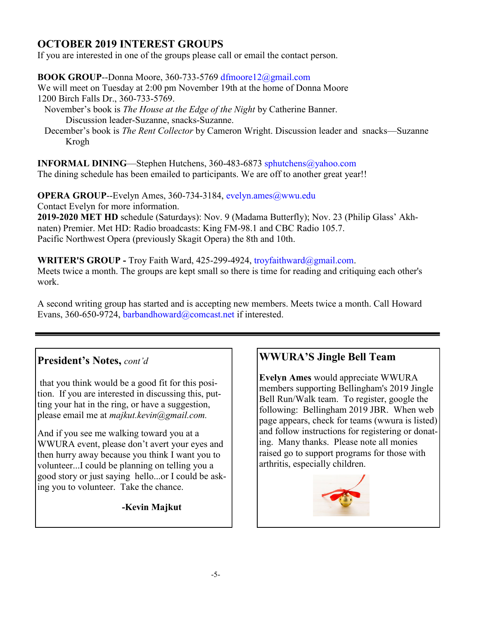# **OCTOBER 2019 INTEREST GROUPS**

If you are interested in one of the groups please call or email the contact person.

**BOOK GROUP**--Donna Moore, 360-733-5769 dfmoore12@gmail.com We will meet on Tuesday at 2:00 pm November 19th at the home of Donna Moore 1200 Birch Falls Dr., 360-733-5769.

- November's book is *The House at the Edge of the Night* by Catherine Banner. Discussion leader-Suzanne, snacks-Suzanne.
- December's book is *The Rent Collector* by Cameron Wright. Discussion leader and snacks—Suzanne Krogh

**INFORMAL DINING**—Stephen Hutchens, 360-483-6873 sphutchens@yahoo.com The dining schedule has been emailed to participants. We are off to another great year!!

**OPERA GROUP--Evelyn Ames, 360-734-3184, evelyn.ames@wwu.edu** Contact Evelyn for more information. **2019-2020 MET HD** schedule (Saturdays): Nov. 9 (Madama Butterfly); Nov. 23 (Philip Glass' Akhnaten) Premier. Met HD: Radio broadcasts: King FM-98.1 and CBC Radio 105.7. Pacific Northwest Opera (previously Skagit Opera) the 8th and 10th.

**WRITER'S GROUP -** Troy Faith Ward, 425-299-4924, troyfaithward@gmail.com. Meets twice a month. The groups are kept small so there is time for reading and critiquing each other's work.

A second writing group has started and is accepting new members. Meets twice a month. Call Howard Evans, 360-650-9724, barbandhoward@comcast.net if interested.

## **President's Notes,** *cont'd*

that you think would be a good fit for this position. If you are interested in discussing this, putting your hat in the ring, or have a suggestion, please email me at *majkut.kevin@gmail.com.*

And if you see me walking toward you at a WWURA event, please don't avert your eyes and then hurry away because you think I want you to volunteer...I could be planning on telling you a good story or just saying hello...or I could be asking you to volunteer. Take the chance.

**-Kevin Majkut**

# **WWURA'S Jingle Bell Team**

**Evelyn Ames** would appreciate WWURA members supporting Bellingham's 2019 Jingle Bell Run/Walk team. To register, google the following: Bellingham 2019 JBR. When web page appears, check for teams (wwura is listed) and follow instructions for registering or donating. Many thanks. Please note all monies raised go to support programs for those with arthritis, especially children.